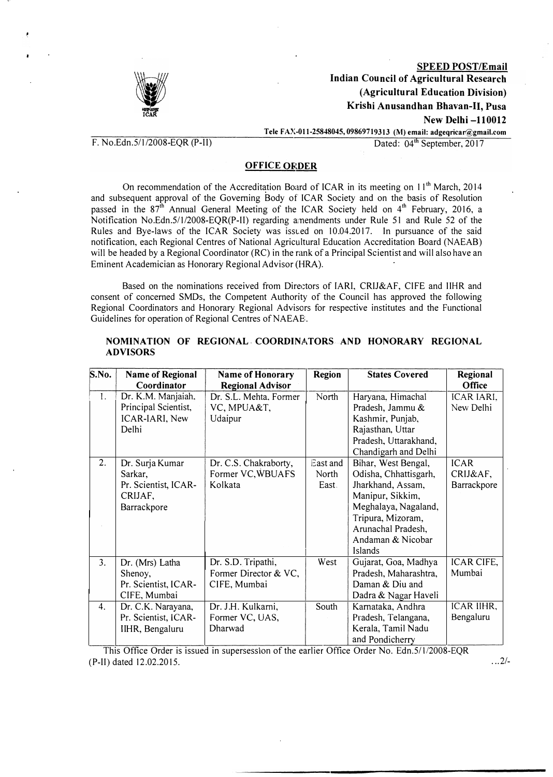

lt

SPEED POST/Email Indian Council of Agricultural Research (Agricultural Education Division) Krishi Anusandhan Bhavan-11, Pusa New Delhi -110012

 $F. No. Edn.5/1/2008-EQR (P-II)$ 

Tele FAX-011-25848045, 09869719313 (M) email: adgeqricar@gmail.com<br>Dated:  $04<sup>th</sup>$  September, 2017

## **OFFICE ORDER**

On recommendation of the Accreditation Board of ICAR in its meeting on 11<sup>th</sup> March, 2014 and subsequent approval of the Governing Body of ICAR Society and on the basis of Resolution passed in the 87<sup>th</sup> Annual General Meeting of the ICAR Society held on 4<sup>th</sup> February, 2016, a Notification No.Edn.5/112008-EQR(P-II) regarding amendments under Rule 51 and Rule 52 of the Rules and Bye-laws of the ICAR Society was issued on 10.04.2017. In pursuance of the said notification, each Regional Centres of National Agricultural Education Accreditation Board (NAEAB) will be headed by a Regional Coordinator (RC) in the rank of a Principal Scientist and will also have an Eminent Academician as Honorary Regional Advisor (HRA).

Based on the nominations received from Directors of IARI, CRIJ&AF, CIFE and IIHR and consent of concerned SMDs, the Competent Authority of the Council has approved the following Regional Coordinators and Honorary Regional Advisors for respective institutes and the Functional Guidelines for operation of Regional Centres of NAEAE:.

| S.No.          | <b>Name of Regional</b> | Name of Honorary        | <b>Region</b> | <b>States Covered</b> | Regional    |
|----------------|-------------------------|-------------------------|---------------|-----------------------|-------------|
|                | Coordinator             | <b>Regional Advisor</b> |               |                       | Office      |
| 1.             | Dr. K.M. Manjaiah,      | Dr. S.L. Mehta, Former  | North         | Haryana, Himachal     | ICAR IARI,  |
|                | Principal Scientist,    | VC, MPUA&T,             |               | Pradesh, Jammu &      | New Delhi   |
|                | ICAR-IARI, New          | Udaipur                 |               | Kashmir, Punjab,      |             |
|                | Delhi                   |                         |               | Rajasthan, Uttar      |             |
|                |                         |                         |               | Pradesh, Uttarakhand, |             |
|                |                         |                         |               | Chandigarh and Delhi  |             |
| 2.             | Dr. Surja Kumar         | Dr. C.S. Chakraborty,   | East and      | Bihar, West Bengal,   | <b>ICAR</b> |
|                | Sarkar,                 | Former VC, WBUAFS       | North         | Odisha, Chhattisgarh, | CRIJ&AF,    |
|                | Pr. Scientist, ICAR-    | Kolkata                 | East.         | Jharkhand, Assam,     | Barrackpore |
|                | CRIJAF,                 |                         |               | Manipur, Sikkim,      |             |
|                | Barrackpore             |                         |               | Meghalaya, Nagaland,  |             |
|                |                         |                         |               | Tripura, Mizoram,     |             |
|                |                         |                         |               | Arunachal Pradesh,    |             |
|                |                         |                         |               | Andaman & Nicobar     |             |
|                |                         |                         |               | Islands               |             |
| 3 <sub>1</sub> | Dr. (Mrs) Latha         | Dr. S.D. Tripathi,      | West          | Gujarat, Goa, Madhya  | ICAR CIFE,  |
|                | Shenoy,                 | Former Director & VC,   |               | Pradesh, Maharashtra, | Mumbai      |
|                | Pr. Scientist, ICAR-    | CIFE, Mumbai            |               | Daman & Diu and       |             |
|                | CIFE, Mumbai            |                         |               | Dadra & Nagar Haveli  |             |
| 4.             | Dr. C.K. Narayana,      | Dr. J.H. Kulkarni,      | South         | Karnataka, Andhra     | ICAR IIHR,  |
|                | Pr. Scientist, ICAR-    | Former VC, UAS,         |               | Pradesh, Telangana,   | Bengaluru   |
|                | IIHR, Bengaluru         | Dharwad                 |               | Kerala, Tamil Nadu    |             |
|                |                         |                         |               | and Pondicherry       |             |

### NOMINATION OF REGIONAL COORDINATORS AND HONORARY REGIONAL ADVISORS

This Office Order is issued in supersession of the earlier Office Order No. Edn.5/1/2008-EQR (P-II) dated 12.02.2015. . .. 2/-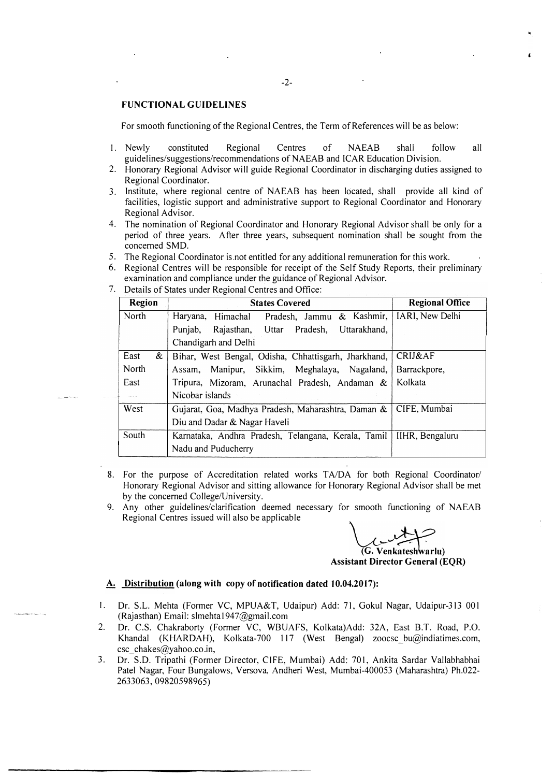#### FUNCTIONAL GUIDELINES

For smooth functioning of the Regional Centres, the Term of References will be as below:

- I. Newly constituted Regional Centres of NAEAB shall follow all guidelines/suggestions/recommendations of NAEAB and ICAR Education Division.
- 2. Honorary Regional Advisor will guide Regional Coordinator in discharging duties assigned to Regional Coordinator.
- 3. Institute, where regional centre of NAEAB has been located, shall provide all kind of facilities, logistic support and administrative support to Regional Coordinator and Honorary Regional Advisor.
- 4. The nomination of Regional Coordinator and Honorary Regional Advisor shall be only for a period of three years. After three years, subsequent nomination shall be sought from the concerned SMD.
- 5. The Regional Coordinator is not entitled for any additional remuneration for this work.
- 6. Regional Centres will be responsible for receipt of the Self Study Reports, their preliminary examination and compliance under the guidance of Regional Advisor.
- Region States Covered North Haryana, Himachal Pradesh, Jammu & Kashmir, Punjab, Rajasthan, Uttar Pradesh, Uttarakhand, Chandigarh and Delhi East & Bihar, West Bengal, Odisha, Chhattisgarh, Jharkhand, North Assam, Manipur, Sikkim, Meghalaya, Nagaland, East | Tripura, Mizoram, Arunachal Pradesh, Andaman & Nicobar islands West Gujarat, Goa, Madhya Pradesh, Maharashtra, Daman & Diu and Dadar & Nagar Haveli South Karnataka, Andhra Pradesh, Telangana, Kerala, Tamil Nadu and Puducherry Regional Office IARI, New Delhi CRIJ&AF Barrackpore, Kolkata CIFE, Mumbai IIHR, Bengaluru
- 7. Details of States under Regional Centres and Office:

- 8. For the purpose of Accreditation related works TA/DA for both Regional Coordinator/ Honorary Regional Advisor and sitting allowance for Honorary Regional Advisor shall be met by the concerned College/University.
- 9. Any other guidelines/clarification deemed necessary for smooth functioning of NAEAB Regional Centres issued will also be applicable

(G. Venkateshwarlu)

Assistant Director General (EQR)

#### A. Distribution (along with copy of notification dated 10.04.2017):

- I. Dr. S.L. Mehta (Former VC, MPUA&T, Udaipur) Add: 71, Gokul Nagar, Udaipur-313 001 (Rajasthan) Email: slmehta1947@gmail.com
- 2. Dr. C.S. Chakraborty (Former VC, WBUAFS, Kolkata)Add: 32A, East B.T. Road, P.O. Khandal (KHARDAH), Kolkata-700 117 (West Bengal) zoocsc\_bu@indiatimes.com, esc\_chakes@yahoo.co.in,
- 3. Dr. S.D. Tripathi (Former Director, CIFE, Mumbai) Add: 701, Ankita Sardar Vallabhabhai Patel Nagar, Four Bungalows, Versova, Andheri West, Mumbai-400053 (Maharashtra) Ph.022- 2633063,09820598965)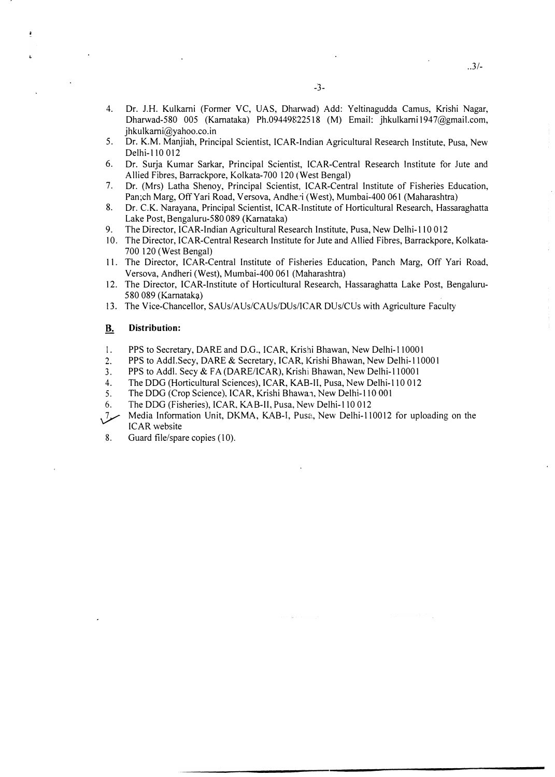- 4. Dr. J.H. Kulkarni (Former VC, UAS, Dharwad) Add: Yeltinagudda Camus, Krishi Nagar, Dharwad-580 005 (Kamataka) Ph.09449822518 (M) Email: jhkulkami 1947@gmail.com, jhkulkami@yahoo.co.in
- 5. Dr. K.M. Manjiah, Principal Scientist, !CAR-Indian Agricultural Research Institute, Pusa, New Delhi-110 012
- 6. Dr. Surja Kumar Sarkar, Principal Scientist, !CAR-Central Research Institute for Jute and Allied Fibres, Barrackpore, Kolkata-700 120 (West Bengal)
- 7. Dr. (Mrs) Latha Shenoy, Principal Scientist, !CAR-Central Institute of Fisheries Education, Pan;ch Marg, Off Yari Road, Versova, Andheri (West), Mumbai-400 061 (Maharashtra)
- 8. Dr. C.K. Narayana, Principal Scientist, !CAR· Institute of Horticultural Research, Hassaraghatta Lake Post, Bengaluru-580 089 (Karnataka)
- 9. The Director, !CAR-Indian Agricultural Research Institute, Pusa, New Delhi-110 012
- 10. The Director, ICAR-Central Research Institute for Jute and Allied Fibres, Barrackpore, Kolkata-700 120 ( West Bengal)
- 11. The Director, !CAR-Central Institute of Fisheries Education, Panch Marg, Off Yari Road, Versova, Andheri (West), Mumbai-400 061 (Maharashtra)
- 12. The Director, !CAR-Institute of Horticultural Research, Hassaraghatta Lake Post, Bengaluru-580 089 (Karnataka)
- 13. The Vice-Chancellor, SAUs/AUs/CAUs/DUs/ICAR DUs/CUs with Agriculture Faculty

#### $\underline{\mathbf{B}}$ . Distribution:

- I. PPS to Secretary, DARE and D.G., !CAR, Krishi Bhawan, New Delhi-110001
- 2. PPS to Addi.Secy, DARE & Secretary, !CAR, Krishi Bhawan, New Delhi-110001
- 3. PPS to Add!. Secy & FA (DARE/ICAR), Krishi Bhawan, New Delhi-110001
- 4. The DOG (Horticultural Sciences), !CAR, KAB-Il, Pusa, New Delhi-110 012
- 5. The DDG (Crop Science), ICAR, Krishi Bhawan, New Delhi-110 001
- 6. The DOG (Fisheries), !CAR, KAB-II, Pusa, New Delhi-110 012
- مىز, Media Information Unit, DKMA, KAB-I, Pusa, New Delhi-110012 for uploading on the ICAR website
- 8. Guard file/spare copies (10).

 $.3/-$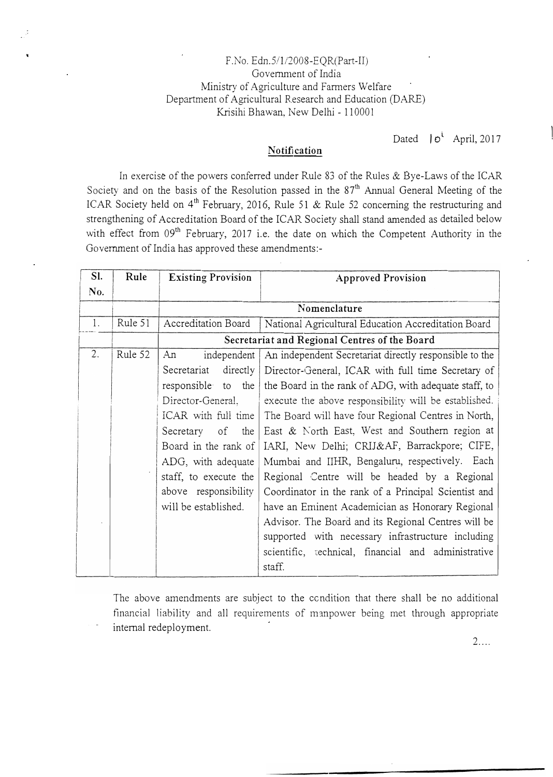## F.No. Edn.5/1/2008-EOR(Part-II) Government of India Ministry of Agri<sup>c</sup>ulture and Farmers Welfar<sup>e</sup> Department of Agricultural Research and Education (DARE) Krisihi Bhawan, New Delhi - 110001

Dated  $|e^i$  April, 2017

# Notification

In exer<sup>c</sup>ise of the p<sup>o</sup>wers conferred <sup>u</sup>nd<sup>e</sup>r Rule 83 of the Rules & Bye-Laws of the ICAR Society and on the basis of the Resolution passed in the  $87<sup>th</sup>$  Annual General Meeting of the ICAR Society held on 4<sup>th</sup> February, 2016, Rule 51 & Rule 52 concerning the restructuring and <sup>s</sup>trengthening of Accreditation Board of the ICAR Society shall stand amended as detailed below with effect from 09<sup>th</sup> February, 2017 i.e. the date on which the Competent Authority in the Government of India has approved these am<sup>e</sup>ndments: -

| SI. | Rule               | <b>Existing Provision</b>                                                   | <b>Approved Provision</b>                             |  |  |  |
|-----|--------------------|-----------------------------------------------------------------------------|-------------------------------------------------------|--|--|--|
| No. |                    |                                                                             |                                                       |  |  |  |
|     |                    | Nomenclature                                                                |                                                       |  |  |  |
| 1.  | Rule 51            | Accreditation Board                                                         | National Agricultural Education Accreditation Board   |  |  |  |
|     |                    | Secretariat and Regional Centres of the Board                               |                                                       |  |  |  |
| 2.  | Rule 52            | independent<br>An<br>An independent Secretariat directly responsible to the |                                                       |  |  |  |
|     |                    | Secretariat<br>directly                                                     | Director-General, ICAR with full time Secretary of    |  |  |  |
|     |                    | responsible to the                                                          | the Board in the rank of ADG, with adequate staff, to |  |  |  |
|     |                    | Director-General,                                                           | execute the above responsibility will be established. |  |  |  |
|     |                    | ICAR with full time                                                         | The Board will have four Regional Centres in North,   |  |  |  |
|     |                    | Secretary of the                                                            | East & North East, West and Southern region at        |  |  |  |
|     |                    | Board in the rank of                                                        | IARI, New Delhi; CRIJ&AF, Barrackpore; CIFE,          |  |  |  |
|     | ADG, with adequate |                                                                             | Mumbai and IIHR, Bengaluru, respectively. Each        |  |  |  |
|     |                    | staff, to execute the                                                       | Regional Centre will be headed by a Regional          |  |  |  |
|     |                    | above responsibility                                                        | Coordinator in the rank of a Principal Scientist and  |  |  |  |
|     |                    | will be established.                                                        | have an Eminent Academician as Honorary Regional      |  |  |  |
|     |                    |                                                                             | Advisor. The Board and its Regional Centres will be   |  |  |  |
|     |                    |                                                                             | supported with necessary infrastructure including     |  |  |  |
|     |                    |                                                                             | scientific, rechnical, financial and administrative   |  |  |  |
|     |                    |                                                                             | staff.                                                |  |  |  |

The above amendments are subject <sup>t</sup>o the ccndition that there shall be no additional financial liability and all requirements of manpower being met through appropriate internal redeployment.

 $2...$